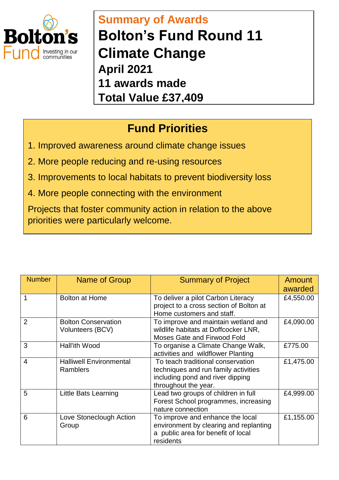

## **Summary of Awards Bolton's Fund Round 11 Climate Change April 2021 11 awards made Total Value £37,409**

## **Fund Priorities**

- 1. Improved awareness around climate change issues
- 2. More people reducing and re-using resources
- 3. Improvements to local habitats to prevent biodiversity loss
- 4. More people connecting with the environment

Projects that foster community action in relation to the above priorities were particularly welcome.

| <b>Number</b>  | <b>Name of Group</b>                              | <b>Summary of Project</b>                                                                                                             | Amount<br>awarded |
|----------------|---------------------------------------------------|---------------------------------------------------------------------------------------------------------------------------------------|-------------------|
|                | <b>Bolton at Home</b>                             | To deliver a pilot Carbon Literacy<br>project to a cross section of Bolton at<br>Home customers and staff.                            | £4,550.00         |
| $\overline{2}$ | <b>Bolton Conservation</b><br>Volunteers (BCV)    | To improve and maintain wetland and<br>wildlife habitats at Doffcocker LNR,<br>Moses Gate and Firwood Fold                            | £4,090.00         |
| 3              | Hall'ith Wood                                     | To organise a Climate Change Walk,<br>activities and wildflower Planting                                                              | £775.00           |
| $\overline{4}$ | <b>Halliwell Environmental</b><br><b>Ramblers</b> | To teach traditional conservation<br>techniques and run family activities<br>including pond and river dipping<br>throughout the year. | £1,475.00         |
| 5              | Little Bats Learning                              | Lead two groups of children in full<br>Forest School programmes, increasing<br>nature connection                                      | £4,999.00         |
| 6              | Love Stoneclough Action<br>Group                  | To improve and enhance the local<br>environment by clearing and replanting<br>a public area for benefit of local<br>residents         | £1,155.00         |